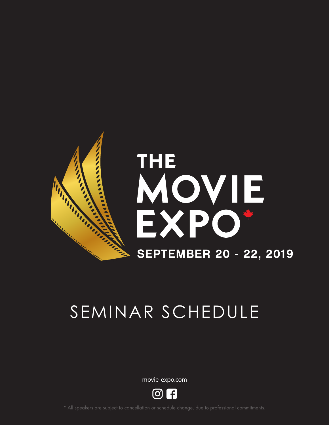

# SEMINAR SCHEDULE

movie-expo.com

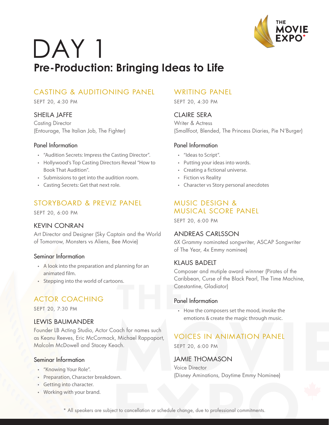

## DAY 1 **Pre-Production: Bringing Ideas to Life**

## CASTING & AUDITIONING PANEL

SEPT 20, 4:30 PM

#### SHEILA JAFFE

Casting Director (Entourage, The Italian Job, The Fighter)

#### Panel Information

- "Audition Secrets: Impress the Casting Director".
- Hollywood's Top Casting Directors Reveal "How to Book That Audition".
- Submissions to get into the audition room.
- Casting Secrets: Get that next role.

## STORYBOARD & PREVIZ PANEL

SEPT 20, 6:00 PM

#### KEVIN CONRAN

Art Director and Designer (Sky Captain and the World of Tomorrow, Monsters vs Aliens, Bee Movie)

#### Seminar Information

- A look into the preparation and planning for an animated film.
- Stepping into the world of cartoons.

## ACTOR COACHING

SEPT 20, 7:30 PM

#### LEWIS BAUMANDER

Founder LB Acting Studio, Actor Coach for names such as Keanu Reeves, Eric McCormack, Michael Rappaport, Malcolm McDowell and Stacey Keach.

#### Seminar Information

- "Knowing Your Role".
- Preparation, Character breakdown.
- Getting into character.
- Working with your brand.

#### WRITING PANEL

SEPT 20, 4:30 PM

#### CLAIRE SERA

Writer & Actress (Smallfoot, Blended, The Princess Diaries, Pie N'Burger)

#### Panel Information

- "Ideas to Script".
- Putting your ideas into words.
- Creating a fictional universe.
- Fiction vs Reality
- Character vs Story personal anecdotes

### MUSIC DESIGN & MUSICAL SCORE PANEL

SEPT 20, 6:00 PM

#### ANDREAS CARLSSON

6X Grammy nominated songwriter, ASCAP Songwriter of The Year, 4x Emmy nominee)

#### KLAUS BADELT

Composer and mutiple award winnner (Pirates of the Caribbean, Curse of the Black Pearl, The Time Machine, Constantine, Gladiator)

#### Panel Information

• How the composers set the mood, invoke the emotions & create the magic through music.

## VOICES IN ANIMATION PANEL

SEPT 20, 6:00 PM

#### JAMIE THOMASON

Voice Director (Disney Aminations, Daytime Emmy Nominee)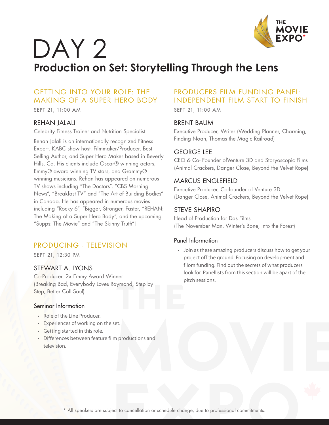

## DAY<sub>2</sub> **Production on Set: Storytelling Through the Lens**

## GETTING INTO YOUR ROLE: THE MAKING OF A SUPER HERO BODY

SEPT 21, 11:00 AM

#### REHAN JALALI

Celebrity Fitness Trainer and Nutrition Specialist

Rehan Jalali is an internationally recognized Fitness Expert, KABC show host, Filmmaker/Producer, Best Selling Author, and Super Hero Maker based in Beverly Hills, Ca. His clients include Oscar® winning actors, Emmy® award winning TV stars, and Grammy® winning musicians. Rehan has appeared on numerous TV shows including "The Doctors", "CBS Morning News", "Breakfast TV" and "The Art of Building Bodies" in Canada. He has appeared in numerous movies including "Rocky 6", "Bigger, Stronger, Faster, "REHAN: The Making of a Super Hero Body", and the upcoming "Supps: The Movie" and "The Skinny Truth"!

## PRODUCING - TELEVISION

SEPT 21, 12:30 PM

#### STEWART A. LYONS

Co-Producer, 2x Emmy Award Winner (Breaking Bad, Everybody Loves Raymond, Step by Step, Better Call Saul)

#### Seminar Information

- Role of the Line Producer.
- Experiences of working on the set.
- Getting started in this role.
- Differences between feature film productions and television.

## PRODUCERS FILM FUNDING PANEL: INDEPENDENT FILM START TO FINISH

SEPT 21, 11:00 AM

#### BRENT BAUM

Executive Producer, Writer (Wedding Planner, Charming, Finding Noah, Thomas the Magic Railroad)

#### GEORGE LEE

CEO & Co- Founder ofVenture 3D and Storyoscopic Films (Animal Crackers, Danger Close, Beyond the Velvet Rope)

#### MARCUS ENGLEFIELD

Executive Producer, Co-founder of Venture 3D (Danger Close, Animal Crackers, Beyond the Velvet Rope)

#### STEVE SHAPIRO

Head of Production for Das Films (The November Man, Winter's Bone, Into the Forest)

#### Panel Information

• Join as these amazing producers discuss how to get your project off the ground. Focusing on development and filom funding. Find out the secrets of what producers look for. Panellists from this section will be apart of the pitch sessions.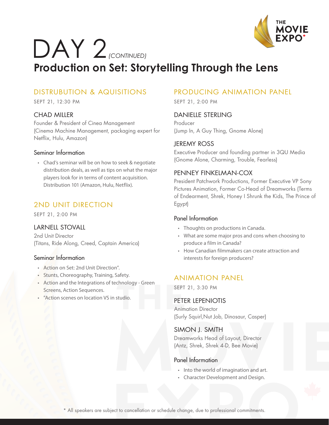

## DAY 2 *(CONTINUED)* **Production on Set: Storytelling Through the Lens**

## DISTRUBUTION & AQUISITIONS

SEPT 21, 12:30 PM

#### CHAD MILLER

Founder & President of Cinea Management (Cinema Machine Management, packaging expert for Netflix, Hulu, Amazon)

#### Seminar Information

• Chad's seminar will be on how to seek & negotiate distribution deals, as well as tips on what the major players look for in terms of content acquisition. Distribution 101 (Amazon, Hulu, Netflix).

## 2ND UNIT DIRECTION

SEPT 21, 2:00 PM

#### LARNELL STOVALL

2nd Unit Director (Titans, Ride Along, Creed, Captain America)

#### Seminar Information

- Action on Set: 2nd Unit Direction".
- Stunts, Choreography, Training, Safety.
- Action and the Integrations of technology Green Screens, Action Sequences.
- "Action scenes on location VS in studio.

## PRODUCING ANIMATION PANEL

SEPT 21, 2:00 PM

#### DANIELLE STERLING

Producer (Jump In, A Guy Thing, Gnome Alone)

#### JEREMY ROSS

Executive Producer and founding partner in 3QU Media (Gnome Alone, Charming, Trouble, Fearless)

#### PENNEY FINKELMAN-COX

President Patchwork Productions, Former Executive VP Sony Pictures Animation, Former Co-Head of Dreamworks (Terms of Endearment, Shrek, Honey I Shrunk the Kids, The Prince of Egypt)

#### Panel Information

- Thoughts on productions in Canada.
- What are some major pros and cons when choosing to produce a film in Canada?
- How Canadian filmmakers can create attraction and interests for foreign producers?

## ANIMATION PANEL

SEPT 21, 3:30 PM

#### PETER LEPENIOTIS

Animation Director (Surly Squirl,Nut Job, Dinosaur, Casper)

#### SIMON J. SMITH

Dreamworks Head of Layout, Director (Antz, Shrek, Shrek 4-D, Bee Movie)

#### Panel Information

- Into the world of imagination and art.
- Character Development and Design.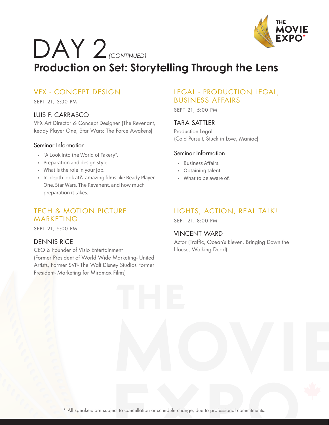

## DAY 2 *(CONTINUED)* **Production on Set: Storytelling Through the Lens**

## VFX - CONCEPT DESIGN

SEPT 21, 3:30 PM

#### LUIS F. CARRASCO

VFX Art Director & Concept Designer (The Revenant, Ready Player One, Star Wars: The Force Awakens)

#### Seminar Information

- "A Look Into the World of Fakery".
- Preparation and design style.
- What is the role in your job.
- In-depth look at amazing films like Ready Player One, Star Wars, The Revanent, and how much preparation it takes.

### TECH & MOTION PICTURE MARKETING

SEPT 21, 5:00 PM

#### DENNIS RICE

CEO & Founder of Visio Entertainment (Former President of World Wide Marketing- United Artists, Former SVP- The Walt Disney Studios Former President- Marketing for Miramax Films)

#### LEGAL - PRODUCTION LEGAL, BUSINESS AFFAIRS

SEPT 21, 5:00 PM

#### TARA SATTLER

Production Legal (Cold Pursuit, Stuck in Love, Maniac)

#### Seminar Information

- Business Affairs.
- Obtaining talent.
- What to be aware of.

## LIGHTS, ACTION, REAL TALK!

SEPT 21, 8:00 PM

#### VINCENT WARD

Actor (Traffic, Ocean's Eleven, Bringing Down the House, Walking Dead)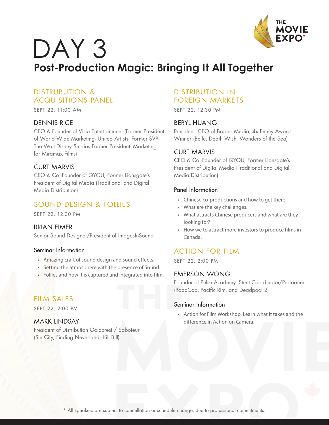

## DAY<sub>3</sub> **Post-Production Magic: Bringing It All Together**

## DISTRUBUTION & ACQUISITIONS PANEL

SEPT 22, 11:00 AM

#### DENNIS RICE

CEO & Founder of Visio Entertainment (Former President of World Wide Marketing- United Artists, Former SVP-The Walt Disney Studios Former President- Marketing for Miramax Films)

#### CURT MARVIS

CEO & Co -Founder of QYOU, Former Lionsgate's President of Digital Media (Traditional and Digital Media Distribution)

## SOUND DESIGN & FOLLIES

SEPT 22, 12:30 PM

#### BRIAN EIMER

Senior Sound Designer/President of ImagesInSound

#### Seminar Information

- Amazing craft of sound design and sound effects.
- Setting the atmosphere with the presence of Sound.
- Follies and how it is captured and integrated into film.

## FILM SALES

SEPT 22, 2:00 PM

#### MARK LINDSAY

President of Distribution Goldcrest / Saboteur (Sin City, Finding Neverland, Kill Bill)

### DISTRIBUTION IN FOREIGN MARKETS

SEPT 22, 12:30 PM

#### BERYL HUANG

President, CEO of Bruber Media, 4x Emmy Award Winner (Belle, Death Wish, Wonders of the Sea)

#### CURT MARVIS

CEO & Co -Founder of QYOU, Former Lionsgate's President of Digital Media (Traditional and Digital Media Distribution)

#### Panel Information

- Chinese co-productions and how to get there.
- What are the key challenges.
- What attracts Chinese producers and what are they looking for?
- How we to attract more investors to produce films in Canada.

## ACTION FOR FILM

SEPT 22, 2:00 PM

#### EMERSON WONG

Founder of Pulse Academy, Stunt Coordinator/Performer (RoboCop, Pacific Rim, and Deadpool 2)

#### Seminar Information

• Action for Film Workshop. Learn what it takes and the difference in Action on Camera.